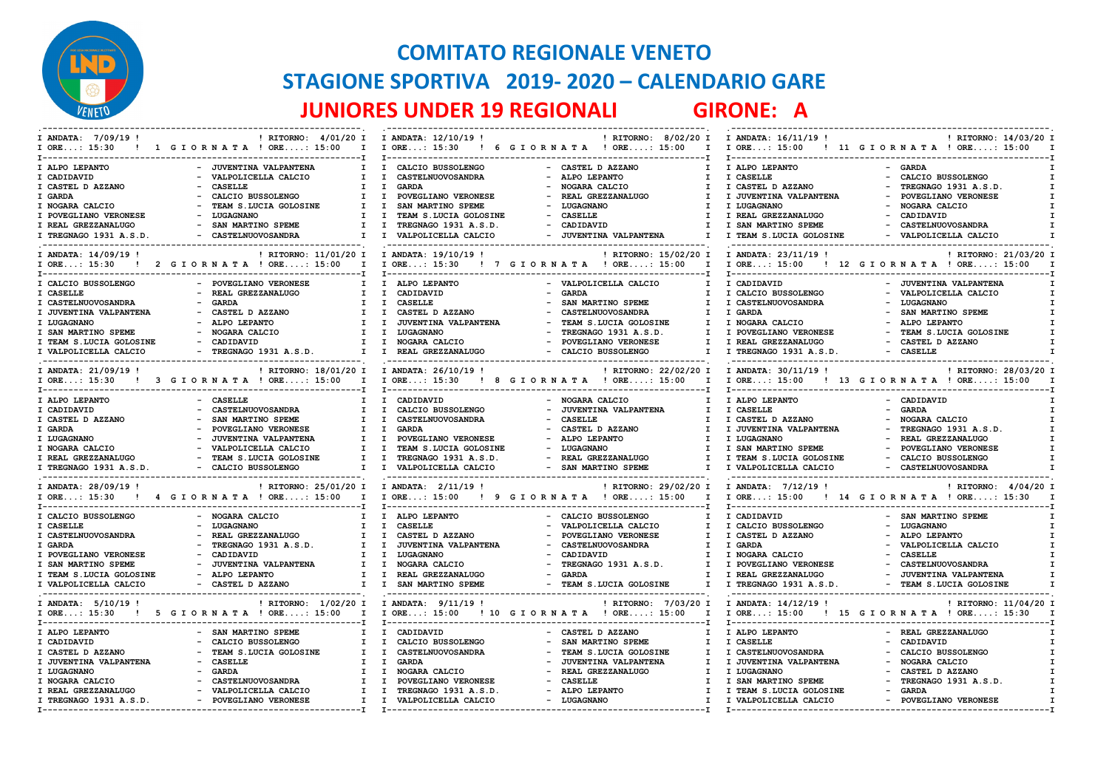

## **COMITATO REGIONALE VENETO STAGIONE SPORTIVA 2019- 2020 – CALENDARIO GARE JUNIORES UNDER 19 REGIONALI GIRONE: A**

| I ANDATA: 7/09/19!                              | ! RITORNO: 4/01/20 I I ANDATA: 12/10/19 !<br>! RITORNO: 8/02/20 I                           | I ANDATA: 16/11/19 !<br>! RITORNO: 14/03/20 I                                        |  |  |
|-------------------------------------------------|---------------------------------------------------------------------------------------------|--------------------------------------------------------------------------------------|--|--|
| ! 1 GIORNATA ! ORE: 15:00<br>$I$ ORE: 15:30     | I I ORE: 15:30 ! 6 G I OR N A T A ! ORE: 15:00<br>$\mathbf{I}$                              | I ORE: 15:00<br>! 11 GIORNATA ! ORE: 15:00                                           |  |  |
| I ALPO LEPANTO<br>- JUVENTINA VALPANTENA        | $\mathbf{I}$<br>CALCIO BUSSOLENGO<br>- CASTEL D AZZANO<br>$\mathbf{I}$<br>$\mathbf{I}$      | I ALPO LEPANTO<br>- GARDA                                                            |  |  |
| I CADIDAVID<br>VALPOLICELLA CALCIO              | $\mathbf{I}$<br>$\mathbf{I}$<br>CASTELNUOVOSANDRA<br>$\sim$<br>ALPO LEPANTO<br>T            | I CASELLE<br>- CALCIO BUSSOLENGO                                                     |  |  |
| <b>CASELLE</b>                                  | $\mathbf{I}$<br><b>GARDA</b><br>$\mathbf{I}$<br>$\mathbf{I}$                                |                                                                                      |  |  |
| I CASTEL D AZZANO                               | NOGARA CALCIO                                                                               | I CASTEL D AZZANO<br>- TREGNAGO 1931 A.S.D.                                          |  |  |
| I GARDA<br>CALCIO BUSSOLENGO                    | POVEGLIANO VERONESE<br>REAL GREZZANALUGO<br>$\mathbf{I}$<br>$\mathbf{I}$<br>I.              | I JUVENTINA VALPANTENA<br>- POVEGLIANO VERONESE                                      |  |  |
| TEAM S.LUCIA GOLOSINE<br>I NOGARA CALCIO        | SAN MARTINO SPEME<br>LUGAGNANO<br>$\mathbf{I}$<br>I.<br>$\mathbf{I}$                        | I LUGAGNANO<br>- NOGARA CALCIO                                                       |  |  |
| I POVEGLIANO VERONESE<br>LUGAGNANO              | TEAM S.LUCIA GOLOSINE<br><b>CASELLE</b><br>I.<br>$\mathbf{I}$<br>$\sim$<br>T                | I REAL GREZZANALUGO<br>- CADIDAVID                                                   |  |  |
| I REAL GREZZANALUGO<br>SAN MARTINO SPEME        | CADIDAVID<br>$\mathbf{I}$<br>$\mathbf{I}$<br>TREGNAGO 1931 A.S.D.<br>$\sim$<br>$\mathbf{I}$ | - CASTELNUOVOSANDRA<br>I SAN MARTINO SPEME                                           |  |  |
| - CASTELNUOVOSANDRA<br>I TREGNAGO 1931 A.S.D.   | - JUVENTINA VALPANTENA<br>$\mathbf{I}$<br>$\mathbf{I}$<br>VALPOLICELLA CALCIO<br>T          | I TEAM S.LUCIA GOLOSINE<br>- VALPOLICELLA CALCIO                                     |  |  |
| I ANDATA: 14/09/19 !                            | ! RITORNO: 11/01/20 I I ANDATA: 19/10/19 !<br>! RITORNO: 15/02/20 I                         | I ANDATA: 23/11/19 !<br>! RITORNO: 21/03/20 I                                        |  |  |
| I ORE: 15:30 ! 2 G I O R N A T A ! ORE: 15:00   | I ORE: 15:30 ! 7 G I OR N A T A ! ORE: 15:00<br>$\mathbf{I}$<br>$\mathbf{I}$                | I ORE: 15:00 ! 12 G I OR N A T A ! ORE: 15:00                                        |  |  |
| I CALCIO BUSSOLENGO<br>- POVEGLIANO VERONESE    | $\mathbf{I}$<br>ALPO LEPANTO<br>- VALPOLICELLA CALCIO                                       | I CADIDAVID<br>- JUVENTINA VALPANTENA                                                |  |  |
| I CASELLE<br>REAL GREZZANALUGO                  | $\mathbf{I}$<br>CADIDAVID<br><b>GARDA</b><br>I.<br>I.                                       | I CALCIO BUSSOLENGO<br>- VALPOLICELLA CALCIO                                         |  |  |
| I CASTELNUOVOSANDRA<br><b>GARDA</b>             | <b>CASELLE</b><br>I.<br>$\mathbf{I}$<br>SAN MARTINO SPEME                                   | - LUGAGNANO<br>I CASTELNUOVOSANDRA                                                   |  |  |
| CASTEL D AZZANO<br>I JUVENTINA VALPANTENA       | $\mathbf{I}$<br>CASTELNUOVOSANDRA<br>$\mathbf{I}$<br>CASTEL D AZZANO<br>I.                  | SAN MARTINO SPEME<br>I GARDA                                                         |  |  |
| I LUGAGNANO<br>ALPO LEPANTO                     | JUVENTINA VALPANTENA<br>I.<br>TEAM S.LUCIA GOLOSINE<br>I<br>I                               | I NOGARA CALCIO<br>- ALPO LEPANTO                                                    |  |  |
| NOGARA CALCIO<br>I SAN MARTINO SPEME            | $\mathbf{I}$<br>LUGAGNANO<br>TREGNAGO 1931 A.S.D.<br>$\mathbf{I}$<br>I.                     | I POVEGLIANO VERONESE<br>- TEAM S.LUCIA GOLOSINE                                     |  |  |
| - CADIDAVID                                     | POVEGLIANO VERONESE<br>$\mathbf{I}$<br>$\mathbf{I}$<br>$\sim$<br>$\mathbf{I}$               | I REAL GREZZANALUGO<br>- CASTEL D AZZANO                                             |  |  |
| I TEAM S.LUCIA GOLOSINE                         | NOGARA CALCIO                                                                               |                                                                                      |  |  |
| - TREGNAGO 1931 A.S.D.<br>I VALPOLICELLA CALCIO | $I$ $I$<br>REAL GREZZANALUGO<br>- CALCIO BUSSOLENGO<br>$\mathbf{r}$                         | I TREGNAGO 1931 A.S.D.<br>- CASELLE                                                  |  |  |
| I ANDATA: 21/09/19 !                            | ! RITORNO: 18/01/20 I I ANDATA: 26/10/19 !<br>! RITORNO: 22/02/20 I                         | I ANDATA: 30/11/19 !<br>! RITORNO: 28/03/20 I                                        |  |  |
| ! 3 GIORNATA ! ORE: 15:00<br>$I$ ORE: 15:30     | I ORE: 15:30 ! 8 G I O R N A T A ! ORE: 15:00<br>$\mathbf{I}$<br>$\mathbf{I}$               | I ORE: 15:00 ! 13 G I OR N A T A ! ORE: 15:00                                        |  |  |
|                                                 |                                                                                             |                                                                                      |  |  |
| I ALPO LEPANTO<br>- CASELLE                     | CADIDAVID<br>- NOGARA CALCIO<br>I.<br>I.                                                    | - CADIDAVID<br>I ALPO LEPANTO                                                        |  |  |
| CASTELNUOVOSANDRA<br>I CADIDAVID                | JUVENTINA VALPANTENA<br>I.<br>$\mathbf{I}$<br>CALCIO BUSSOLENGO<br>I.                       | I CASELLE<br>- GARDA                                                                 |  |  |
| I CASTEL D AZZANO<br>SAN MARTINO SPEME          | $\mathbf{I}$<br>$\mathbf{I}$<br>CASTELNUOVOSANDRA<br><b>CASELLE</b>                         | - NOGARA CALCIO<br>I CASTEL D AZZANO                                                 |  |  |
| I GARDA<br>POVEGLIANO VERONESE                  | $\mathbf{I}$<br>$\mathbf{I}$<br><b>GARDA</b><br>CASTEL D AZZANO<br>$\mathbf{I}$             | I JUVENTINA VALPANTENA<br>- TREGNAGO 1931 A.S.D.                                     |  |  |
| I LUGAGNANO<br>JUVENTINA VALPANTENA             | $\mathbf{I}$<br>POVEGLIANO VERONESE<br>ALPO LEPANTO<br>T<br>I.                              | I LUGAGNANO<br>REAL GREZZANALUGO                                                     |  |  |
| I NOGARA CALCIO<br>VALPOLICELLA CALCIO          | TEAM S.LUCIA GOLOSINE<br>LUGAGNANO<br>Ι.<br>$\mathbf{I}$<br>I.                              | I SAN MARTINO SPEME<br>- POVEGLIANO VERONESE                                         |  |  |
|                                                 | $\sim$                                                                                      |                                                                                      |  |  |
| I REAL GREZZANALUGO<br>TEAM S.LUCIA GOLOSINE    | TREGNAGO 1931 A.S.D.<br>$\mathbf{I}$<br>$\mathbf{I}$<br>REAL GREZZANALUGO<br>$\mathbf{I}$   | I TEAM S.LUCIA GOLOSINE<br>- CALCIO BUSSOLENGO                                       |  |  |
| I TREGNAGO 1931 A.S.D.<br>- CALCIO BUSSOLENGO   | I VALPOLICELLA CALCIO<br>- SAN MARTINO SPEME<br>T<br>T                                      | I VALPOLICELLA CALCIO<br>- CASTELNUOVOSANDRA<br>------------------------------------ |  |  |
| I ANDATA: 28/09/19 !                            | ! RITORNO: 25/01/20 I I ANDATA: 2/11/19 !<br>! RITORNO: 29/02/20 I                          | I ANDATA: 7/12/19 !<br>! RITORNO: 4/04/20 I                                          |  |  |
| ! 4 GIORNATA ! ORE: 15:00<br>$I$ ORE: 15:30     | I ORE: 15:00<br>$\mathbf{I}$<br>! 9 GIORNATA ! ORE: 15:00<br>$\mathbf{I}$                   | $I$ ORE: 15:00<br>! 14 GIORNATA ! ORE: 15:30                                         |  |  |
| ----------------------------------              | $T - 1$                                                                                     |                                                                                      |  |  |
| I CALCIO BUSSOLENGO<br>- NOGARA CALCIO          | $\mathbf{I}$<br>I ALPO LEPANTO<br>- CALCIO BUSSOLENGO<br>T                                  | I CADIDAVID<br>- SAN MARTINO SPEME                                                   |  |  |
| I CASELLE<br>LUGAGNANO                          | <b>CASELLE</b><br>$\mathbf{I}$<br>$\mathbf{I}$<br>VALPOLICELLA CALCIO<br>$\mathbf{I}$       | - LUGAGNANO<br>I CALCIO BUSSOLENGO                                                   |  |  |
| I CASTELNUOVOSANDRA<br>REAL GREZZANALUGO        | $\mathbf{I}$<br>$\mathbf{I}$<br>CASTEL D AZZANO<br>POVEGLIANO VERONESE<br>$\mathbf{I}$      | I CASTEL D AZZANO<br>- ALPO LEPANTO                                                  |  |  |
| TREGNAGO 1931 A.S.D.<br>I GARDA                 | JUVENTINA VALPANTENA<br>CASTELNUOVOSANDRA<br>I.<br>$\mathbf{I}$<br>T                        | I GARDA<br>- VALPOLICELLA CALCIO                                                     |  |  |
| I POVEGLIANO VERONESE<br>CADIDAVID              | $\mathbf{I}$<br>$\mathbf{I}$<br>LUGAGNANO<br>CADIDAVID<br>T                                 | I NOGARA CALCIO<br><b>CASELLE</b>                                                    |  |  |
| I SAN MARTINO SPEME<br>JUVENTINA VALPANTENA     | NOGARA CALCIO<br>TREGNAGO 1931 A.S.D.<br>I.<br>$\mathbf{I}$<br>I.                           | I POVEGLIANO VERONESE<br>CASTELNUOVOSANDRA                                           |  |  |
| I TEAM S.LUCIA GOLOSINE<br>ALPO LEPANTO         | I.<br>$\mathbf{I}$<br>REAL GREZZANALUGO<br><b>GARDA</b><br><b>I</b>                         | I REAL GREZZANALUGO<br><b>JUVENTINA VALPANTENA</b>                                   |  |  |
| I VALPOLICELLA CALCIO<br>- CASTEL D AZZANO      | SAN MARTINO SPEME<br>$\mathbf{I}$<br>- TEAM S.LUCIA GOLOSINE<br>I.                          | I TREGNAGO 1931 A.S.D.<br>- TEAM S.LUCIA GOLOSINE                                    |  |  |
|                                                 | ! RITORNO: 1/02/20 I I ANDATA: 9/11/19 !                                                    | I ANDATA: 14/12/19 !                                                                 |  |  |
| I ANDATA: 5/10/19 !                             | ! RITORNO: 7/03/20 I                                                                        | ! RITORNO: 11/04/20 I                                                                |  |  |
| I ORE: 15:30 ! 5 G I O R N A T A ! ORE: 15:00   | $\mathbf{I}$<br>I ORE: 15:00 ! 10 G I O R N A T A ! ORE: 15:00<br>I                         | I ORE: 15:00 ! 15 G I OR N A T A ! ORE: 15:30                                        |  |  |
|                                                 | $T - 1$<br>$\mathbf{I}$<br>$\mathbf{I}$<br>CADIDAVID<br>T                                   | - REAL GREZZANALUGO<br>I ALPO LEPANTO                                                |  |  |
| I ALPO LEPANTO<br>- SAN MARTINO SPEME           | - CASTEL D AZZANO                                                                           |                                                                                      |  |  |
| I CADIDAVID<br>CALCIO BUSSOLENGO                | $\mathbf{I}$<br>$\mathbf{I}$<br>CALCIO BUSSOLENGO<br>SAN MARTINO SPEME<br>I.                | I CASELLE<br>CADIDAVID                                                               |  |  |
| I CASTEL D AZZANO<br>TEAM S. LUCIA GOLOSINE     | $\mathbf{I}$<br>CASTELNUOVOSANDRA<br>$\mathbf{I}$<br>TEAM S.LUCIA GOLOSINE<br>I.            | I CASTELNUOVOSANDRA<br>CALCIO BUSSOLENGO                                             |  |  |
| I JUVENTINA VALPANTENA<br><b>CASELLE</b>        | <b>GARDA</b><br>JUVENTINA VALPANTENA<br>I.<br>$\mathbf{I}$<br>T                             | I JUVENTINA VALPANTENA<br>- NOGARA CALCIO                                            |  |  |
| I LUGAGNANO<br><b>GARDA</b>                     | NOGARA CALCIO<br>REAL GREZZANALUGO<br>T.<br>T<br>T                                          | I LUGAGNANO<br>- CASTEL D AZZANO                                                     |  |  |
| CASTELNUOVOSANDRA<br>I NOGARA CALCIO            | POVEGLIANO VERONESE<br><b>CASELLE</b><br>$\mathbf{I}$<br>$\mathbf{I}$<br>I.                 | - TREGNAGO 1931 A.S.D.<br>I SAN MARTINO SPEME                                        |  |  |
| I REAL GREZZANALUGO<br>- VALPOLICELLA CALCIO    | TREGNAGO 1931 A.S.D.<br>$\mathbf{I}$<br>$\mathbf{I}$<br>- ALPO LEPANTO<br>$\mathbf{I}$      | - GARDA<br>I TEAM S.LUCIA GOLOSINE                                                   |  |  |
| - POVEGLIANO VERONESE<br>I TREGNAGO 1931 A.S.D. | VALPOLICELLA CALCIO<br>- LUGAGNANO<br>I.<br>$\mathbf{I}$<br>$\mathbf{I}$                    | - POVEGLIANO VERONESE<br>I VALPOLICELLA CALCIO                                       |  |  |
|                                                 |                                                                                             |                                                                                      |  |  |